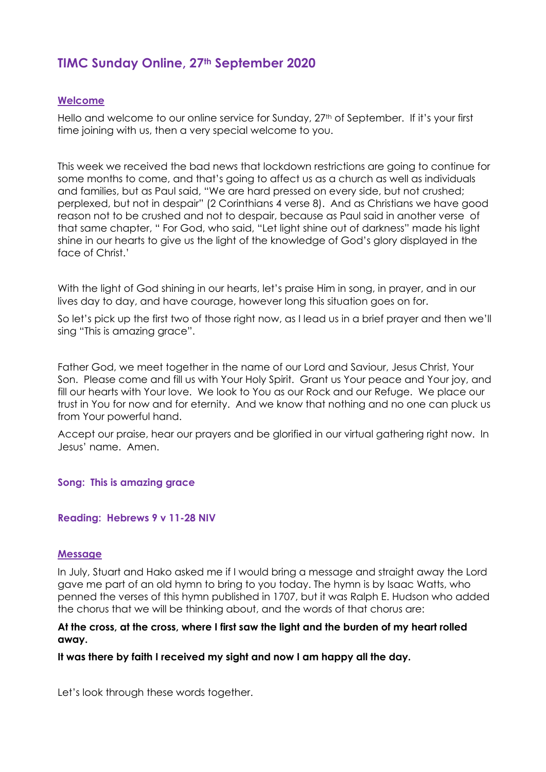# **TIMC Sunday Online, 27th September 2020**

# **Welcome**

Hello and welcome to our online service for Sunday, 27<sup>th</sup> of September. If it's your first time joining with us, then a very special welcome to you.

This week we received the bad news that lockdown restrictions are going to continue for some months to come, and that's going to affect us as a church as well as individuals and families, but as Paul said, "We are hard pressed on every side, but not crushed; perplexed, but not in despair" (2 Corinthians 4 verse 8). And as Christians we have good reason not to be crushed and not to despair, because as Paul said in another verse of that same chapter, " For God, who said, "Let light shine out of darkness" made his light shine in our hearts to give us the light of the knowledge of God's glory displayed in the face of Christ<sup>'</sup>

With the light of God shining in our hearts, let's praise Him in song, in prayer, and in our lives day to day, and have courage, however long this situation goes on for.

So let's pick up the first two of those right now, as I lead us in a brief prayer and then we'll sing "This is amazing grace".

Father God, we meet together in the name of our Lord and Saviour, Jesus Christ, Your Son. Please come and fill us with Your Holy Spirit. Grant us Your peace and Your joy, and fill our hearts with Your love. We look to You as our Rock and our Refuge. We place our trust in You for now and for eternity. And we know that nothing and no one can pluck us from Your powerful hand.

Accept our praise, hear our prayers and be glorified in our virtual gathering right now. In Jesus' name. Amen.

**Song: This is amazing grace** 

# **Reading: Hebrews 9 v 11-28 NIV**

# **Message**

In July, Stuart and Hako asked me if I would bring a message and straight away the Lord gave me part of an old hymn to bring to you today. The hymn is by Isaac Watts, who penned the verses of this hymn published in 1707, but it was Ralph E. Hudson who added the chorus that we will be thinking about, and the words of that chorus are:

# **At the cross, at the cross, where I first saw the light and the burden of my heart rolled away.**

**It was there by faith I received my sight and now I am happy all the day.**

Let's look through these words together.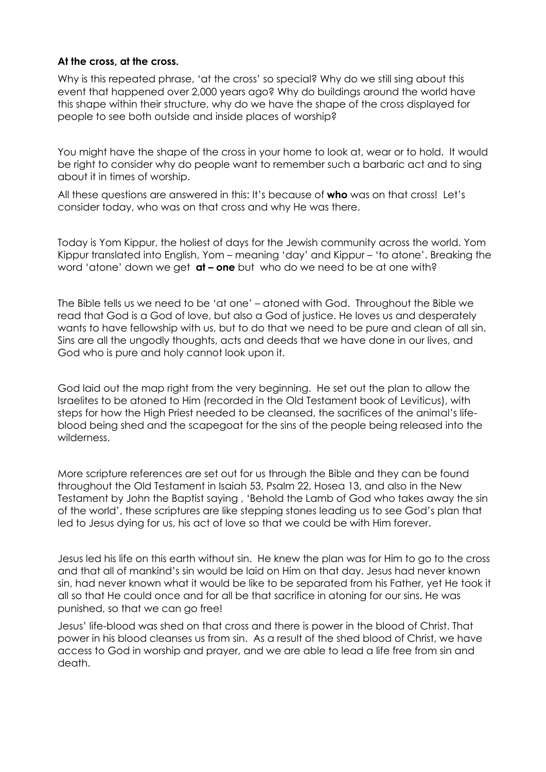# **At the cross, at the cross.**

Why is this repeated phrase, 'at the cross' so special? Why do we still sing about this event that happened over 2,000 years ago? Why do buildings around the world have this shape within their structure, why do we have the shape of the cross displayed for people to see both outside and inside places of worship?

You might have the shape of the cross in your home to look at, wear or to hold. It would be right to consider why do people want to remember such a barbaric act and to sing about it in times of worship.

All these questions are answered in this: It's because of **who** was on that cross! Let's consider today, who was on that cross and why He was there.

Today is Yom Kippur, the holiest of days for the Jewish community across the world. Yom Kippur translated into English, Yom – meaning 'day' and Kippur – 'to atone'. Breaking the word 'atone' down we get **at – one** but who do we need to be at one with?

The Bible tells us we need to be 'at one' – atoned with God. Throughout the Bible we read that God is a God of love, but also a God of justice. He loves us and desperately wants to have fellowship with us, but to do that we need to be pure and clean of all sin. Sins are all the ungodly thoughts, acts and deeds that we have done in our lives, and God who is pure and holy cannot look upon it.

God laid out the map right from the very beginning. He set out the plan to allow the Israelites to be atoned to Him (recorded in the Old Testament book of Leviticus), with steps for how the High Priest needed to be cleansed, the sacrifices of the animal's lifeblood being shed and the scapegoat for the sins of the people being released into the wilderness.

More scripture references are set out for us through the Bible and they can be found throughout the Old Testament in Isaiah 53, Psalm 22, Hosea 13, and also in the New Testament by John the Baptist saying , 'Behold the Lamb of God who takes away the sin of the world', these scriptures are like stepping stones leading us to see God's plan that led to Jesus dying for us, his act of love so that we could be with Him forever.

Jesus led his life on this earth without sin. He knew the plan was for Him to go to the cross and that all of mankind's sin would be laid on Him on that day. Jesus had never known sin, had never known what it would be like to be separated from his Father, yet He took it all so that He could once and for all be that sacrifice in atoning for our sins. He was punished, so that we can go free!

Jesus' life-blood was shed on that cross and there is power in the blood of Christ. That power in his blood cleanses us from sin. As a result of the shed blood of Christ, we have access to God in worship and prayer, and we are able to lead a life free from sin and death.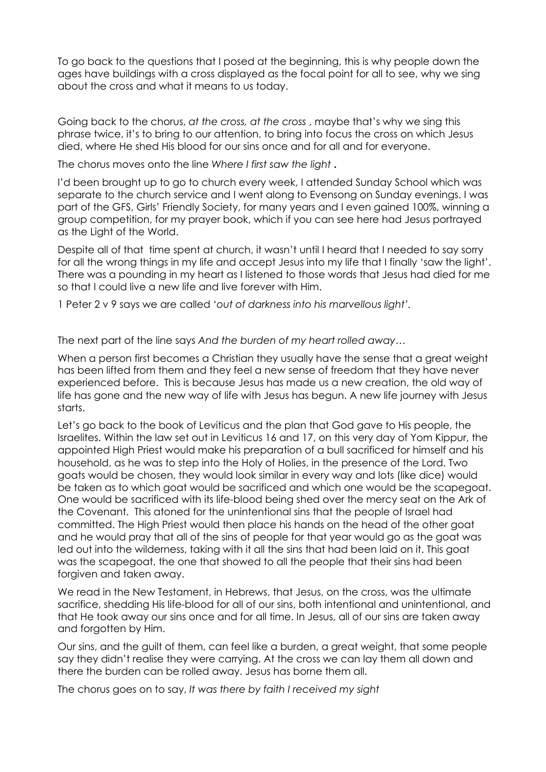To go back to the questions that I posed at the beginning, this is why people down the ages have buildings with a cross displayed as the focal point for all to see, why we sing about the cross and what it means to us today.

Going back to the chorus, *at the cross, at the cross* , maybe that's why we sing this phrase twice, it's to bring to our attention, to bring into focus the cross on which Jesus died, where He shed His blood for our sins once and for all and for everyone.

The chorus moves onto the line *Where I first saw the light* **.** 

I'd been brought up to go to church every week, I attended Sunday School which was separate to the church service and I went along to Evensong on Sunday evenings. I was part of the GFS, Girls' Friendly Society, for many years and I even gained 100%, winning a group competition, for my prayer book, which if you can see here had Jesus portrayed as the Light of the World.

Despite all of that time spent at church, it wasn't until I heard that I needed to say sorry for all the wrong things in my life and accept Jesus into my life that I finally 'saw the light'. There was a pounding in my heart as I listened to those words that Jesus had died for me so that I could live a new life and live forever with Him.

1 Peter 2 v 9 says we are called '*out of darkness into his marvellous light'.*

The next part of the line says *And the burden of my heart rolled away…*

When a person first becomes a Christian they usually have the sense that a great weight has been lifted from them and they feel a new sense of freedom that they have never experienced before. This is because Jesus has made us a new creation, the old way of life has gone and the new way of life with Jesus has begun. A new life journey with Jesus starts.

Let's go back to the book of Leviticus and the plan that God gave to His people, the Israelites. Within the law set out in Leviticus 16 and 17, on this very day of Yom Kippur, the appointed High Priest would make his preparation of a bull sacrificed for himself and his household, as he was to step into the Holy of Holies, in the presence of the Lord. Two goats would be chosen, they would look similar in every way and lots (like dice) would be taken as to which goat would be sacrificed and which one would be the scapegoat. One would be sacrificed with its life-blood being shed over the mercy seat on the Ark of the Covenant. This atoned for the unintentional sins that the people of Israel had committed. The High Priest would then place his hands on the head of the other goat and he would pray that all of the sins of people for that year would go as the goat was led out into the wilderness, taking with it all the sins that had been laid on it. This goat was the scapegoat, the one that showed to all the people that their sins had been forgiven and taken away.

We read in the New Testament, in Hebrews, that Jesus, on the cross, was the ultimate sacrifice, shedding His life-blood for all of our sins, both intentional and unintentional, and that He took away our sins once and for all time. In Jesus, all of our sins are taken away and forgotten by Him.

Our sins, and the guilt of them, can feel like a burden, a great weight, that some people say they didn't realise they were carrying. At the cross we can lay them all down and there the burden can be rolled away. Jesus has borne them all.

The chorus goes on to say, *It was there by faith I received my sight*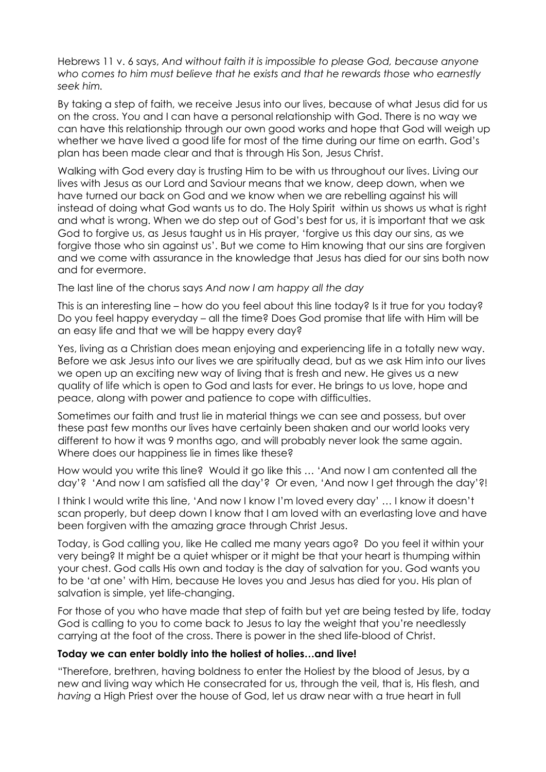Hebrews 11 v. 6 says, *And without faith it is impossible to please God, because anyone who comes to him must believe that he exists and that he rewards those who earnestly seek him.*

By taking a step of faith, we receive Jesus into our lives, because of what Jesus did for us on the cross. You and I can have a personal relationship with God. There is no way we can have this relationship through our own good works and hope that God will weigh up whether we have lived a good life for most of the time during our time on earth. God's plan has been made clear and that is through His Son, Jesus Christ.

Walking with God every day is trusting Him to be with us throughout our lives. Living our lives with Jesus as our Lord and Saviour means that we know, deep down, when we have turned our back on God and we know when we are rebelling against his will instead of doing what God wants us to do. The Holy Spirit within us shows us what is right and what is wrong. When we do step out of God's best for us, it is important that we ask God to forgive us, as Jesus taught us in His prayer, 'forgive us this day our sins, as we forgive those who sin against us'. But we come to Him knowing that our sins are forgiven and we come with assurance in the knowledge that Jesus has died for our sins both now and for evermore.

The last line of the chorus says *And now I am happy all the day*

This is an interesting line – how do you feel about this line today? Is it true for you today? Do you feel happy everyday – all the time? Does God promise that life with Him will be an easy life and that we will be happy every day?

Yes, living as a Christian does mean enjoying and experiencing life in a totally new way. Before we ask Jesus into our lives we are spiritually dead, but as we ask Him into our lives we open up an exciting new way of living that is fresh and new. He gives us a new quality of life which is open to God and lasts for ever. He brings to us love, hope and peace, along with power and patience to cope with difficulties.

Sometimes our faith and trust lie in material things we can see and possess, but over these past few months our lives have certainly been shaken and our world looks very different to how it was 9 months ago, and will probably never look the same again. Where does our happiness lie in times like these?

How would you write this line? Would it go like this … 'And now I am contented all the day'? 'And now I am satisfied all the day'? Or even, 'And now I get through the day'?!

I think I would write this line, 'And now I know I'm loved every day' … I know it doesn't scan properly, but deep down I know that I am loved with an everlasting love and have been forgiven with the amazing grace through Christ Jesus.

Today, is God calling you, like He called me many years ago? Do you feel it within your very being? It might be a quiet whisper or it might be that your heart is thumping within your chest. God calls His own and today is the day of salvation for you. God wants you to be 'at one' with Him, because He loves you and Jesus has died for you. His plan of salvation is simple, yet life-changing.

For those of you who have made that step of faith but yet are being tested by life, today God is calling to you to come back to Jesus to lay the weight that you're needlessly carrying at the foot of the cross. There is power in the shed life-blood of Christ.

# **Today we can enter boldly into the holiest of holies…and live!**

"Therefore, brethren, having boldness to enter the Holiest by the blood of Jesus, by a new and living way which He consecrated for us, through the veil, that is, His flesh, and *having* a High Priest over the house of God, let us draw near with a true heart in full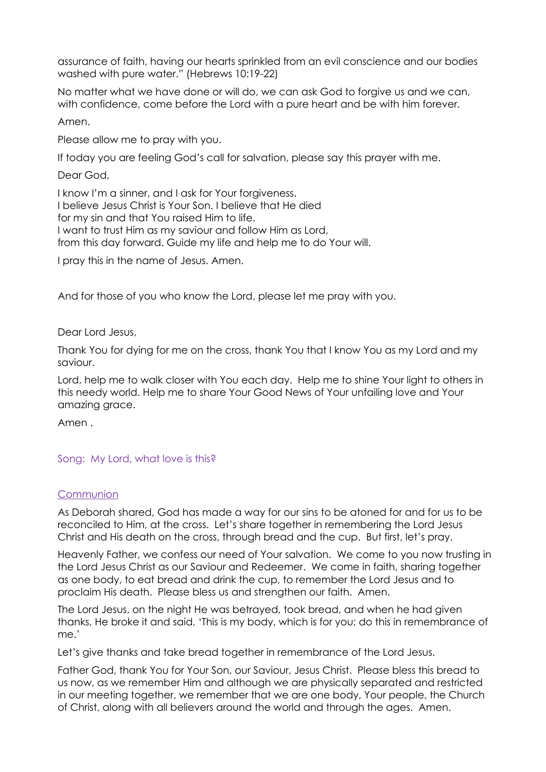assurance of faith, having our hearts sprinkled from an evil conscience and our bodies washed with pure water." (Hebrews 10:19-22)

No matter what we have done or will do, we can ask God to forgive us and we can, with confidence, come before the Lord with a pure heart and be with him forever.

Amen.

Please allow me to pray with you.

If today you are feeling God's call for salvation, please say this prayer with me.

Dear God,

I know I'm a sinner, and I ask for Your forgiveness. I believe Jesus Christ is Your Son. I believe that He died for my sin and that You raised Him to life. I want to trust Him as my saviour and follow Him as Lord, from this day forward. Guide my life and help me to do Your will.

I pray this in the name of Jesus. Amen.

And for those of you who know the Lord, please let me pray with you.

Dear Lord Jesus,

Thank You for dying for me on the cross, thank You that I know You as my Lord and my saviour.

Lord, help me to walk closer with You each day. Help me to shine Your light to others in this needy world. Help me to share Your Good News of Your unfailing love and Your amazing grace.

Amen .

# Song: My Lord, what love is this?

#### **Communion**

As Deborah shared, God has made a way for our sins to be atoned for and for us to be reconciled to Him, at the cross. Let's share together in remembering the Lord Jesus Christ and His death on the cross, through bread and the cup. But first, let's pray.

Heavenly Father, we confess our need of Your salvation. We come to you now trusting in the Lord Jesus Christ as our Saviour and Redeemer. We come in faith, sharing together as one body, to eat bread and drink the cup, to remember the Lord Jesus and to proclaim His death. Please bless us and strengthen our faith. Amen.

The Lord Jesus, on the night He was betrayed, took bread, and when he had given thanks, He broke it and said, 'This is my body, which is for you; do this in remembrance of me.'

Let's give thanks and take bread together in remembrance of the Lord Jesus.

Father God, thank You for Your Son, our Saviour, Jesus Christ. Please bless this bread to us now, as we remember Him and although we are physically separated and restricted in our meeting together, we remember that we are one body, Your people, the Church of Christ, along with all believers around the world and through the ages. Amen.